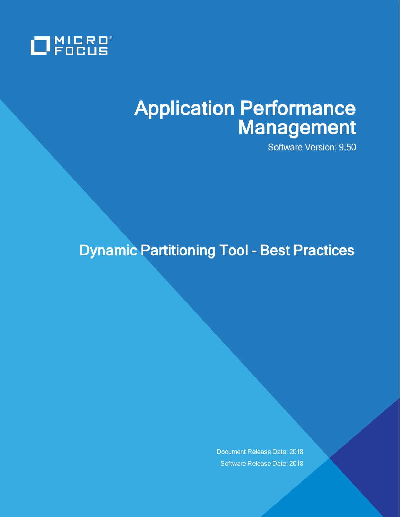

# Application Performance Management

Software Version: 9.50

## Dynamic Partitioning Tool - Best Practices

Document Release Date: 2018 Software Release Date: 2018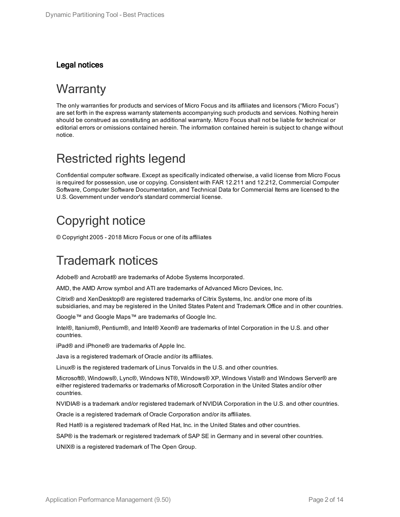#### Legal notices

#### **Warranty**

The only warranties for products and services of Micro Focus and its affiliates and licensors ("Micro Focus") are set forth in the express warranty statements accompanying such products and services. Nothing herein should be construed as constituting an additional warranty. Micro Focus shall not be liable for technical or editorial errors or omissions contained herein. The information contained herein is subject to change without notice.

#### Restricted rights legend

Confidential computer software. Except as specifically indicated otherwise, a valid license from Micro Focus is required for possession, use or copying. Consistent with FAR 12.211 and 12.212, Commercial Computer Software, Computer Software Documentation, and Technical Data for Commercial Items are licensed to the U.S. Government under vendor's standard commercial license.

### Copyright notice

© Copyright 2005 - 2018 Micro Focus or one of its affiliates

### Trademark notices

Adobe® and Acrobat® are trademarks of Adobe Systems Incorporated.

AMD, the AMD Arrow symbol and ATI are trademarks of Advanced Micro Devices, Inc.

Citrix® and XenDesktop® are registered trademarks of Citrix Systems, Inc. and/or one more of its subsidiaries, and may be registered in the United States Patent and Trademark Office and in other countries.

Google™ and Google Maps™ are trademarks of Google Inc.

Intel®, Itanium®, Pentium®, and Intel® Xeon® are trademarks of Intel Corporation in the U.S. and other countries.

iPad® and iPhone® are trademarks of Apple Inc.

Java is a registered trademark of Oracle and/or its affiliates.

Linux® is the registered trademark of Linus Torvalds in the U.S. and other countries.

Microsoft®, Windows®, Lync®, Windows NT®, Windows® XP, Windows Vista® and Windows Server® are either registered trademarks or trademarks of Microsoft Corporation in the United States and/or other countries.

NVIDIA® is a trademark and/or registered trademark of NVIDIA Corporation in the U.S. and other countries.

Oracle is a registered trademark of Oracle Corporation and/or its affiliates.

Red Hat® is a registered trademark of Red Hat, Inc. in the United States and other countries.

SAP® is the trademark or registered trademark of SAP SE in Germany and in several other countries.

UNIX® is a registered trademark of The Open Group.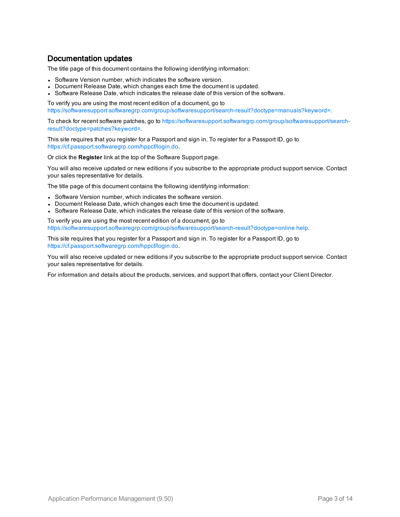#### Documentation updates

The title page of this document contains the following identifying information:

- Software Version number, which indicates the software version.
- Document Release Date, which changes each time the document is updated.
- Software Release Date, which indicates the release date of this version of the software.

To verify you are using the most recent edition of a document, go to <https://softwaresupport.softwaregrp.com/group/softwaresupport/search-result?doctype=manuals?keyword=>.

To check for recent software patches, go to [https://softwaresupport.softwaregrp.com/group/softwaresupport/search](https://softwaresupport.softwaregrp.com/group/softwaresupport/search-result?doctype=patches?keyword=)[result?doctype=patches?keyword=](https://softwaresupport.softwaregrp.com/group/softwaresupport/search-result?doctype=patches?keyword=).

This site requires that you register for a Passport and sign in. To register for a Passport ID, go to <https://cf.passport.softwaregrp.com/hppcf/login.do>.

Or click the **Register** link at the top of the Software Support page.

You will also receive updated or new editions if you subscribe to the appropriate product support service. Contact your sales representative for details.

The title page of this document contains the following identifying information:

- Software Version number, which indicates the software version.
- Document Release Date, which changes each time the document is updated.
- Software Release Date, which indicates the release date of this version of the software.

To verify you are using the most recent edition of a document, go to [https://softwaresupport.softwaregrp.com/group/softwaresupport/search-result?doctype=online](https://softwaresupport.softwaregrp.com/group/softwaresupport/search-result?doctype=online help) help.

This site requires that you register for a Passport and sign in. To register for a Passport ID, go to <https://cf.passport.softwaregrp.com/hppcf/login.do>.

You will also receive updated or new editions if you subscribe to the appropriate product support service. Contact your sales representative for details.

For information and details about the products, services, and support that offers, contact your Client Director.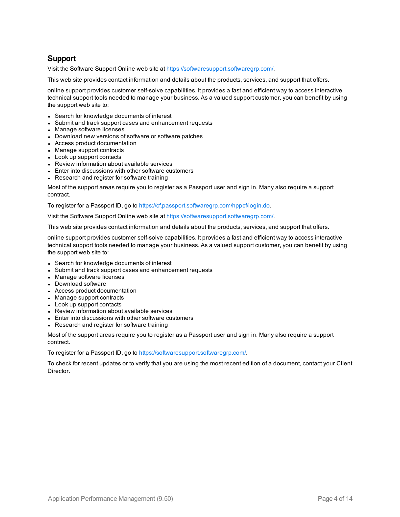#### Support

Visit the Software Support Online web site at <https://softwaresupport.softwaregrp.com/>.

This web site provides contact information and details about the products, services, and support that offers.

online support provides customer self-solve capabilities. It provides a fast and efficient way to access interactive technical support tools needed to manage your business. As a valued support customer, you can benefit by using the support web site to:

- Search for knowledge documents of interest
- Submit and track support cases and enhancement requests
- Manage software licenses
- Download new versions of software or software patches
- Access product documentation
- Manage support contracts
- Look up support contacts
- Review information about available services
- Enter into discussions with other software customers
- Research and register for software training

Most of the support areas require you to register as a Passport user and sign in. Many also require a support contract.

To register for a Passport ID, go to <https://cf.passport.softwaregrp.com/hppcf/login.do>.

Visit the Software Support Online web site at <https://softwaresupport.softwaregrp.com/>.

This web site provides contact information and details about the products, services, and support that offers.

online support provides customer self-solve capabilities. It provides a fast and efficient way to access interactive technical support tools needed to manage your business. As a valued support customer, you can benefit by using the support web site to:

- Search for knowledge documents of interest
- Submit and track support cases and enhancement requests
- Manage software licenses
- Download software
- Access product documentation
- Manage support contracts
- Look up support contacts
- Review information about available services
- Enter into discussions with other software customers
- Research and register for software training

Most of the support areas require you to register as a Passport user and sign in. Many also require a support contract.

To register for a Passport ID, go to <https://softwaresupport.softwaregrp.com/>.

To check for recent updates or to verify that you are using the most recent edition of a document, contact your Client Director.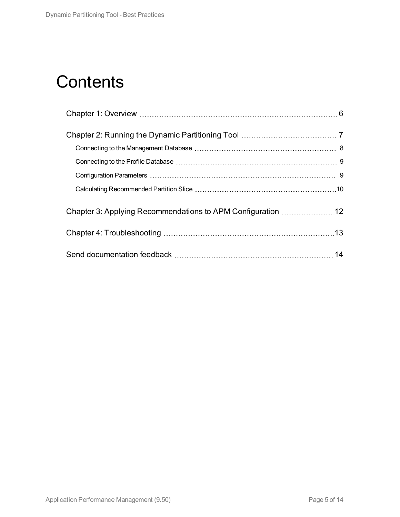## **Contents**

|  | 14 |  |
|--|----|--|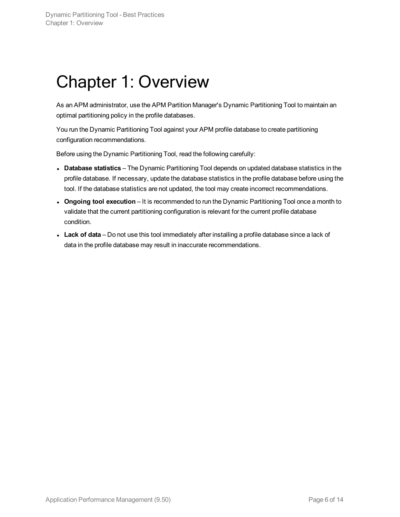## <span id="page-5-0"></span>Chapter 1: Overview

As an APM administrator, use the APM Partition Manager's Dynamic Partitioning Tool to maintain an optimal partitioning policy in the profile databases.

You run the Dynamic Partitioning Tool against your APM profile database to create partitioning configuration recommendations.

Before using the Dynamic Partitioning Tool, read the following carefully:

- **Database statistics** The Dynamic Partitioning Tool depends on updated database statistics in the profile database. If necessary, update the database statistics in the profile database before using the tool. If the database statistics are not updated, the tool may create incorrect recommendations.
- <sup>l</sup> **Ongoing tool execution** It is recommended to run the Dynamic Partitioning Tool once a month to validate that the current partitioning configuration is relevant for the current profile database condition.
- **Lack of data** Do not use this tool immediately after installing a profile database since a lack of data in the profile database may result in inaccurate recommendations.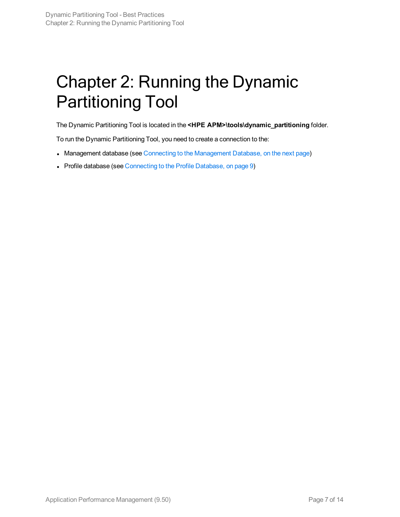## <span id="page-6-0"></span>Chapter 2: Running the Dynamic Partitioning Tool

The Dynamic Partitioning Tool is located in the **<HPE APM>\tools\dynamic\_partitioning** folder.

To run the Dynamic Partitioning Tool, you need to create a connection to the:

- [Management](#page-7-0) database (see Connecting to the Management Database, on the next page)
- Profile database (see [Connecting](#page-8-0) to the Profile Database, on page 9)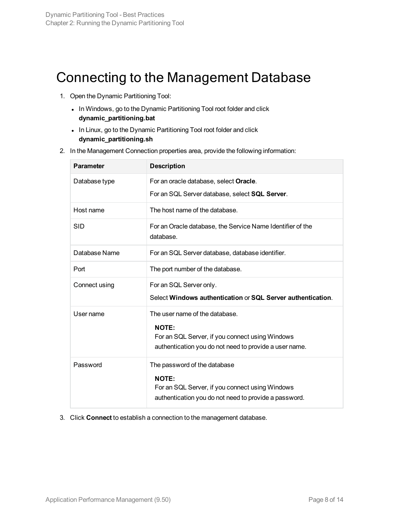## <span id="page-7-0"></span>Connecting to the Management Database

- 1. Open the Dynamic Partitioning Tool:
	- In Windows, go to the Dynamic Partitioning Tool root folder and click **dynamic\_partitioning.bat**
	- In Linux, go to the Dynamic Partitioning Tool root folder and click **dynamic\_partitioning.sh**
- 2. In the Management Connection properties area, provide the following information:

| <b>Parameter</b> | <b>Description</b>                                                                                                                                          |
|------------------|-------------------------------------------------------------------------------------------------------------------------------------------------------------|
| Database type    | For an oracle database, select Oracle.                                                                                                                      |
|                  | For an SQL Server database, select SQL Server.                                                                                                              |
| Host name        | The host name of the database.                                                                                                                              |
| SID              | For an Oracle database, the Service Name Identifier of the<br>database.                                                                                     |
| Database Name    | For an SQL Server database, database identifier.                                                                                                            |
| Port             | The port number of the database.                                                                                                                            |
| Connect using    | For an SQL Server only.                                                                                                                                     |
|                  | Select Windows authentication or SQL Server authentication.                                                                                                 |
| User name        | The user name of the database.<br><b>NOTE:</b><br>For an SQL Server, if you connect using Windows<br>authentication you do not need to provide a user name. |
|                  |                                                                                                                                                             |
| Password         | The password of the database<br><b>NOTE:</b><br>For an SQL Server, if you connect using Windows<br>authentication you do not need to provide a password.    |

3. Click **Connect** to establish a connection to the management database.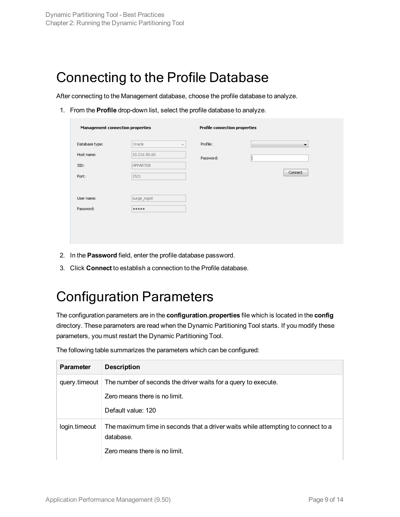## <span id="page-8-0"></span>Connecting to the Profile Database

After connecting to the Management database, choose the profile database to analyze.

1. From the **Profile** drop-down list, select the profile database to analyze.

| <b>Management connection properties</b> |                                    | <b>Profile connection properties</b> |         |  |
|-----------------------------------------|------------------------------------|--------------------------------------|---------|--|
| Database type:                          | Oracle<br>$\overline{\mathcal{N}}$ | Profile:                             | ▼       |  |
| Host name:                              | 10.216.50.60                       | Password:                            |         |  |
| SID:                                    | <b>HPPARTDB</b>                    |                                      |         |  |
| Port:                                   | 1521                               |                                      | Connect |  |
|                                         |                                    |                                      |         |  |
| User name:                              | surge_mgmt                         |                                      |         |  |
| Password:                               |                                    |                                      |         |  |

- 2. In the **Password** field, enter the profile database password.
- <span id="page-8-1"></span>3. Click **Connect** to establish a connection to the Profile database.

## Configuration Parameters

The configuration parameters are in the **configuration.properties** file which is located in the **config** directory. These parameters are read when the Dynamic Partitioning Tool starts. If you modify these parameters, you must restart the Dynamic Partitioning Tool.

| <b>Parameter</b> | <b>Description</b>                                                                            |
|------------------|-----------------------------------------------------------------------------------------------|
| query.timeout    | The number of seconds the driver waits for a query to execute.                                |
|                  | Zero means there is no limit.                                                                 |
|                  | Default value: 120                                                                            |
| login.timeout    | The maximum time in seconds that a driver waits while attempting to connect to a<br>database. |
|                  | Zero means there is no limit.                                                                 |

The following table summarizes the parameters which can be configured: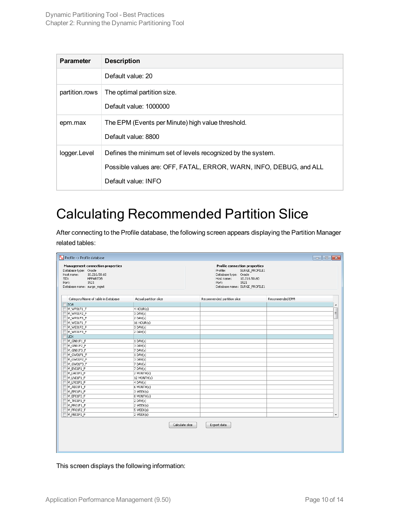| <b>Parameter</b> | <b>Description</b>                                                                                                                                       |
|------------------|----------------------------------------------------------------------------------------------------------------------------------------------------------|
|                  | Default value: 20                                                                                                                                        |
| partition.rows   | The optimal partition size.<br>Default value: 1000000                                                                                                    |
| epm.max          | The EPM (Events per Minute) high value threshold.<br>Default value: 8800                                                                                 |
| logger.Level     | Defines the minimum set of levels recognized by the system.<br>Possible values are: OFF, FATAL, ERROR, WARN, INFO, DEBUG, and ALL<br>Default value: INFO |

### <span id="page-9-0"></span>Calculating Recommended Partition Slice

After connecting to the Profile database, the following screen appears displaying the Partition Manager related tables:

| Category/Name of table in Database<br>Actual partition slice<br>SOA<br>M_WP01F1_F<br>4 HOUR(s)<br>$3$ DAY(s)<br>M_WP01F2_F<br>$2$ DAY(s)<br>M_WP01F3_F<br>16 HOUR(s)<br>M_WE01F1_F<br>$3$ DAY(s)<br>M_WE01F2_F<br>$2$ DAY(s)<br>$M_WE01F3_F$<br>UDX<br>$1$ DAY(s)<br>$M_GNO1F1_F$<br>$3$ DAY(s)<br>M_GN01F2_F<br>$7$ DAY(s)<br>$M_GNO1F3_F$<br>$1$ DAY(s)<br>$M_GW01F1_F$<br>$3$ DAY(s)<br>M_GW01F2_F<br>$7$ DAY(s)<br>$M_GW01F3_F$<br>$7$ DAY(s)<br>$M_E$ VO1F1_F<br>2 MONTH(s)<br>M_LA01F1_F<br>12 MONTH(s)<br>M_LN01F1_F<br>$4$ DAY(s)<br>$M_LRO1F1_F$<br>6 MONTH(s)<br>M_AE01F1_F<br>3 WEEK(s)<br>M_EP01F1_F<br>8 MONTH(s)<br>M_EP01F3_F<br>$2$ DAY(s)<br>$M_TK01F1_F$<br>2 WEEK(s)<br>M_PR01F1_F<br>5 WEEK(s)<br>M_PR01F2_F |                                                |
|----------------------------------------------------------------------------------------------------------------------------------------------------------------------------------------------------------------------------------------------------------------------------------------------------------------------------------------------------------------------------------------------------------------------------------------------------------------------------------------------------------------------------------------------------------------------------------------------------------------------------------------------------------------------------------------------------------------------------------|------------------------------------------------|
|                                                                                                                                                                                                                                                                                                                                                                                                                                                                                                                                                                                                                                                                                                                                  | Recommended partition slice<br>Recommended EPM |
|                                                                                                                                                                                                                                                                                                                                                                                                                                                                                                                                                                                                                                                                                                                                  |                                                |
|                                                                                                                                                                                                                                                                                                                                                                                                                                                                                                                                                                                                                                                                                                                                  |                                                |
|                                                                                                                                                                                                                                                                                                                                                                                                                                                                                                                                                                                                                                                                                                                                  |                                                |
|                                                                                                                                                                                                                                                                                                                                                                                                                                                                                                                                                                                                                                                                                                                                  |                                                |
|                                                                                                                                                                                                                                                                                                                                                                                                                                                                                                                                                                                                                                                                                                                                  |                                                |
|                                                                                                                                                                                                                                                                                                                                                                                                                                                                                                                                                                                                                                                                                                                                  |                                                |
|                                                                                                                                                                                                                                                                                                                                                                                                                                                                                                                                                                                                                                                                                                                                  |                                                |
|                                                                                                                                                                                                                                                                                                                                                                                                                                                                                                                                                                                                                                                                                                                                  |                                                |
|                                                                                                                                                                                                                                                                                                                                                                                                                                                                                                                                                                                                                                                                                                                                  |                                                |
|                                                                                                                                                                                                                                                                                                                                                                                                                                                                                                                                                                                                                                                                                                                                  |                                                |
|                                                                                                                                                                                                                                                                                                                                                                                                                                                                                                                                                                                                                                                                                                                                  |                                                |
|                                                                                                                                                                                                                                                                                                                                                                                                                                                                                                                                                                                                                                                                                                                                  |                                                |
|                                                                                                                                                                                                                                                                                                                                                                                                                                                                                                                                                                                                                                                                                                                                  |                                                |
|                                                                                                                                                                                                                                                                                                                                                                                                                                                                                                                                                                                                                                                                                                                                  |                                                |
|                                                                                                                                                                                                                                                                                                                                                                                                                                                                                                                                                                                                                                                                                                                                  |                                                |
|                                                                                                                                                                                                                                                                                                                                                                                                                                                                                                                                                                                                                                                                                                                                  |                                                |
|                                                                                                                                                                                                                                                                                                                                                                                                                                                                                                                                                                                                                                                                                                                                  |                                                |
|                                                                                                                                                                                                                                                                                                                                                                                                                                                                                                                                                                                                                                                                                                                                  |                                                |
|                                                                                                                                                                                                                                                                                                                                                                                                                                                                                                                                                                                                                                                                                                                                  |                                                |
|                                                                                                                                                                                                                                                                                                                                                                                                                                                                                                                                                                                                                                                                                                                                  |                                                |
|                                                                                                                                                                                                                                                                                                                                                                                                                                                                                                                                                                                                                                                                                                                                  |                                                |
|                                                                                                                                                                                                                                                                                                                                                                                                                                                                                                                                                                                                                                                                                                                                  |                                                |
|                                                                                                                                                                                                                                                                                                                                                                                                                                                                                                                                                                                                                                                                                                                                  |                                                |
|                                                                                                                                                                                                                                                                                                                                                                                                                                                                                                                                                                                                                                                                                                                                  |                                                |
| $M$ PB01F1<br>2 WEEK(s)                                                                                                                                                                                                                                                                                                                                                                                                                                                                                                                                                                                                                                                                                                          |                                                |
|                                                                                                                                                                                                                                                                                                                                                                                                                                                                                                                                                                                                                                                                                                                                  | Calculate slice<br>Export data                 |

This screen displays the following information: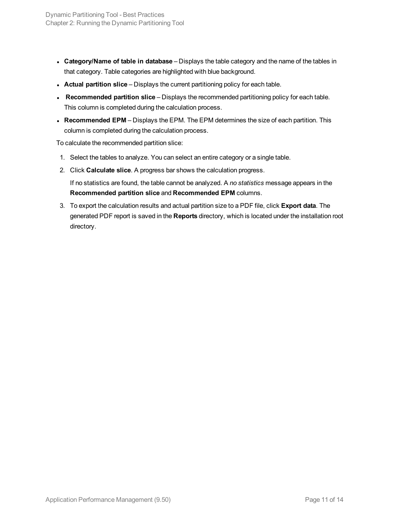- <sup>l</sup> **Category/Name of table in database** Displays the table category and the name of the tables in that category. Table categories are highlighted with blue background.
- **Actual partition slice** Displays the current partitioning policy for each table.
- **Recommended partition slice** Displays the recommended partitioning policy for each table. This column is completed during the calculation process.
- **Recommended EPM** Displays the EPM. The EPM determines the size of each partition. This column is completed during the calculation process.

To calculate the recommended partition slice:

- 1. Select the tables to analyze. You can select an entire category or a single table.
- 2. Click **Calculate slice**. A progress bar shows the calculation progress.

If no statistics are found, the table cannot be analyzed. A *no statistics* message appears in the **Recommended partition slice** and **Recommended EPM** columns.

3. To export the calculation results and actual partition size to a PDF file, click **Export data**. The generated PDF report is saved in the **Reports** directory, which is located under the installation root directory.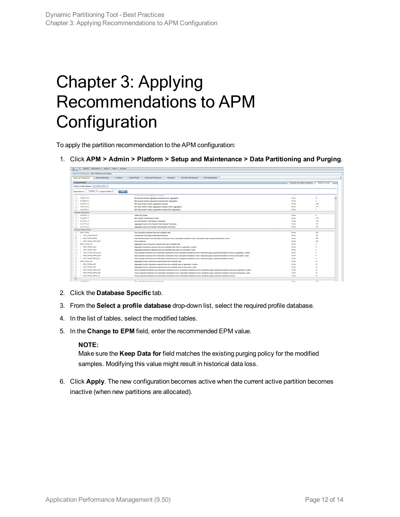# <span id="page-11-0"></span>Chapter 3: Applying Recommendations to APM **Configuration**

To apply the partition recommendation to the APM configuration:

1. Click **APM > Admin > Platform > Setup and Maintenance > Data Partitioning and Purging**.

| MvBSM Applications v Admin v Help v Site Map          |                                                                |                                                                                                                                                                        |                                 |                   |           |
|-------------------------------------------------------|----------------------------------------------------------------|------------------------------------------------------------------------------------------------------------------------------------------------------------------------|---------------------------------|-------------------|-----------|
| Setup and Maintenance > Data Partitioning and Purging |                                                                |                                                                                                                                                                        |                                 |                   |           |
|                                                       |                                                                |                                                                                                                                                                        |                                 |                   |           |
|                                                       | <b>Report Scheduling</b><br>Locations<br>Setup and Maintenance | <b>Content Packs</b><br><b>Recipients</b><br><b>Users and Permissions</b><br><b>Downtime Management</b><br><b>Event Management</b>                                     |                                 |                   | 000       |
|                                                       | <b>Purging Manager</b>                                         |                                                                                                                                                                        | Template and Multiple Databases | Database Specific |           |
|                                                       |                                                                |                                                                                                                                                                        |                                 |                   |           |
|                                                       | Select a profile database: myd_vn00142_Prids V                 |                                                                                                                                                                        |                                 |                   |           |
|                                                       | Month(s) V Change to EPM: 24<br>Keep Data for: 1<br>Apply      |                                                                                                                                                                        |                                 |                   |           |
|                                                       |                                                                |                                                                                                                                                                        |                                 |                   |           |
| 1.11                                                  | <b><i>Programmer Sea</i></b>                                   | an a processo memoria eggingerano dempiosi                                                                                                                             | <b>CONTRACTOR</b>               | $\sim$            |           |
| o                                                     | M_BR01F2_F                                                     | BPI process monitors aggregative samples Hourly Aggregation                                                                                                            | <b>Infinite</b>                 | $\overline{22}$   | $\lambda$ |
| o                                                     | M. BROIF3 F                                                    | BPI process monitors aggregative samples Daily Aggregation                                                                                                             | Infinite                        | ٠                 |           |
| m.                                                    | - M_BVOTFT_F                                                   | BPI value monitor (metric) appregative samples                                                                                                                         | Infinite                        | 1900              |           |
| n.                                                    | M_BV01F2_F                                                     | BPI value monitor (metric) aggregative samples Hourly Aggregation                                                                                                      | Infinite                        | 165               |           |
| m.                                                    | M_BV01F3_F                                                     | BPI value monitor (metric) aggregative samples Daily Aggregation                                                                                                       | Infinite                        | 7                 |           |
|                                                       | Business Logic Engine                                          |                                                                                                                                                                        |                                 |                   |           |
|                                                       | $\Box \vdash$ M_BF01F1_F                                       | Offine BLE States                                                                                                                                                      | Infinite                        | ø.                |           |
| Ξ                                                     | M KE01F1 F                                                     | <b>BLE Results Trend Reports Events</b>                                                                                                                                | Infinite                        | 1457              |           |
| n                                                     | M_KT01F1_F                                                     | Raw BLE Results Trend Reports TimeSeries                                                                                                                               | Infinite                        | 1457              |           |
| m.                                                    | M_KT01F2_F                                                     | Aggregated (houriv) BLE Results Trend Reports TimeSeries                                                                                                               | Infinite                        | 105               |           |
|                                                       | M_KT01F3_F                                                     | Aggregated (daily) BLE Results Trend Reports TimeSeries                                                                                                                | <b>Infinite</b>                 | 105               |           |
|                                                       | <b>Business Process Monitor</b>                                |                                                                                                                                                                        |                                 |                   |           |
| n.                                                    | DPM_TRANS                                                      | Raw transaction response time and availability data                                                                                                                    | Infinite                        | 265               |           |
| n                                                     | <b>BPM COMPONENTS</b>                                          | Components in the page component breakdown                                                                                                                             | Infinite                        | 385               |           |
| v                                                     | BPM_TRANS_ERRS                                                 | Extended transaction error information (transaction errors, transaction breakdown errors, transaction page component breakdown errors)                                 | Infinite                        | 365               |           |
| n                                                     | BPM TRANS ERR SNAP                                             | <b>Error Snapshots</b>                                                                                                                                                 | Infinite                        | 265               |           |
| n.                                                    | BPM TRANS DAY                                                  | Aggregated (daily) transaction response time and availability data                                                                                                     | <b>Infinite</b>                 |                   |           |
| o                                                     | BPM_TRANS_2DAY                                                 | Aggregated transaction response time and availability data (daily) by application, location                                                                            | <b>Infinite</b>                 |                   |           |
|                                                       | BPM TRANS 3DAY                                                 | Aggregated transaction response time and availability data (daily) by transaction, script                                                                              | <b>Infinite</b>                 |                   |           |
| п                                                     | GPM_TRANS_ERRS_2DAY                                            | Daily extended transaction error information (transaction errors, transaction breakdown errors, transaction page component breakdown errors) by application, location  | Infinite                        |                   |           |
| п                                                     | BPM TRANS ERRS SOAY                                            | Daily extended transaction error information (transaction errors, transaction breakdown errors, transaction page component breakdown errors) by transaction, script    | <b>Infinite</b>                 |                   |           |
| $\Box$                                                | BPM TRANS ERRS DAY                                             | Daily extended transaction error information (transaction errors, transaction breakdown errors, transaction page component breakdown errors)                           | Infinite                        |                   |           |
| n                                                     | BPM TRANS HR                                                   | Aggregated (hourly) transaction response time and availability data                                                                                                    | Infinite                        | 24                |           |
| п                                                     | BPM_TRANS_2HR                                                  | Aggregated (hourly) transaction response time and availability data by application, location                                                                           | Infinite                        | 24                |           |
| п                                                     | BPM TRANS 3HR                                                  | Aggregated (hourly) transaction response time and availability data by transaction, script                                                                             | <b>Infinite</b>                 | 24                |           |
| m                                                     | BPM_TRANS_ERRS_2HR                                             | Hourly extended transaction error information (transaction errors, transaction breakdown errors, transaction page component breakdown errors) by application, location | Infinite                        | 24                |           |
| п                                                     | DPM_TRANS_ERRS_3HR                                             | Hourly extended transaction error information (transaction errors, transaction breakdown errors, transaction page component breakdown errors) by transaction, script   | Infinite                        | 24                |           |
| п                                                     | BPM TRANS ERRS HR                                              | Hously extended transaction error information (transaction errors, transaction breakdown errors, transaction page component breakdown errors)                          | Infinite                        | 24                |           |
| DG                                                    |                                                                |                                                                                                                                                                        |                                 |                   |           |
| m L.                                                  | <b>MIDOOSES E</b>                                              | Disconsition Duringen Transaction Carnela                                                                                                                              | Infinity                        | 2012              |           |

- 2. Click the **Database Specific** tab.
- 3. From the **Select a profile database** drop-down list, select the required profile database.
- 4. In the list of tables, select the modified tables.
- 5. In the **Change to EPM** field, enter the recommended EPM value.

#### **NOTE:**

Make sure the **Keep Data for** field matches the existing purging policy for the modified samples. Modifying this value might result in historical data loss.

6. Click **Apply**. The new configuration becomes active when the current active partition becomes inactive (when new partitions are allocated).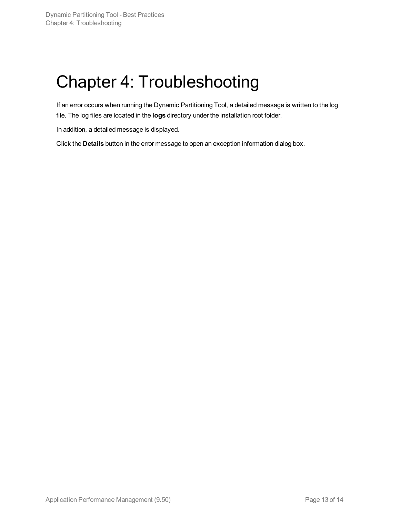## <span id="page-12-0"></span>Chapter 4: Troubleshooting

If an error occurs when running the Dynamic Partitioning Tool, a detailed message is written to the log file. The log files are located in the **logs** directory under the installation root folder.

In addition, a detailed message is displayed.

Click the **Details** button in the error message to open an exception information dialog box.